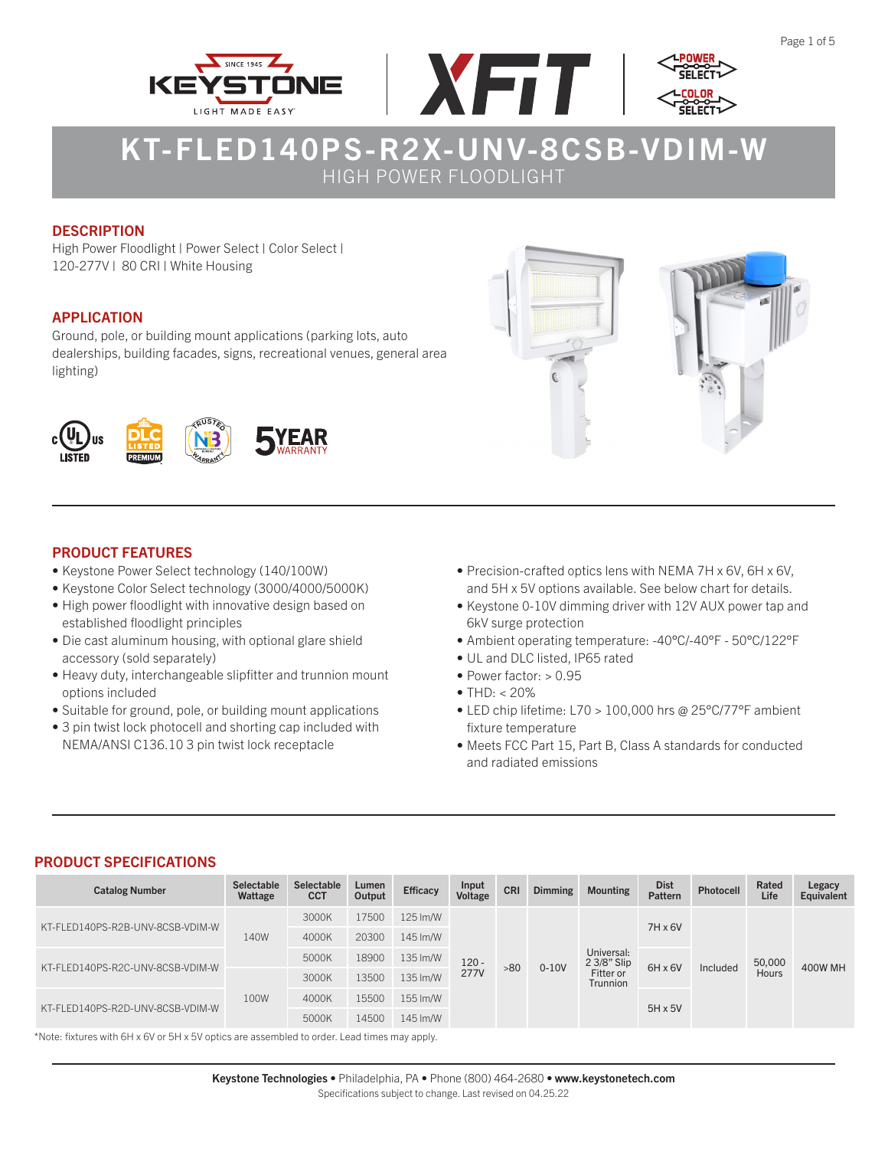





## **DESCRIPTION**

High Power Floodlight | Power Select | Color Select | 120-277V | 80 CRI | White Housing

## APPLICATION

Ground, pole, or building mount applications (parking lots, auto dealerships, building facades, signs, recreational venues, general area lighting)



## PRODUCT FEATURES

- Keystone Power Select technology (140/100W)
- Keystone Color Select technology (3000/4000/5000K)
- High power floodlight with innovative design based on established floodlight principles
- Die cast aluminum housing, with optional glare shield accessory (sold separately)
- Heavy duty, interchangeable slipfitter and trunnion mount options included
- Suitable for ground, pole, or building mount applications
- 3 pin twist lock photocell and shorting cap included with NEMA/ANSI C136.10 3 pin twist lock receptacle
- 
- Precision-crafted optics lens with NEMA 7H x 6V, 6H x 6V, and 5H x 5V options available. See below chart for details.
- Keystone 0-10V dimming driver with 12V AUX power tap and 6kV surge protection
- Ambient operating temperature: -40°C/-40°F 50°C/122°F
- UL and DLC listed, IP65 rated
- Power factor:  $> 0.95$
- THD:  $< 20\%$
- LED chip lifetime: L70 > 100,000 hrs @ 25°C/77°F ambient fixture temperature
- Meets FCC Part 15, Part B, Class A standards for conducted and radiated emissions

## PRODUCT SPECIFICATIONS

| <b>Catalog Number</b>            | <b>Selectable</b><br>Wattage | Selectable<br><b>CCT</b> | Lumen<br>Output | <b>Efficacy</b> | Input<br>Voltage | <b>CRI</b> | <b>Dimming</b> | <b>Mounting</b>              | <b>Dist</b><br>Pattern | Photocell                  | Rated<br>Life | Legacy<br>Equivalent |
|----------------------------------|------------------------------|--------------------------|-----------------|-----------------|------------------|------------|----------------|------------------------------|------------------------|----------------------------|---------------|----------------------|
| KT-FLED140PS-R2B-UNV-8CSB-VDIM-W | 140W                         | 3000K                    | 17500           | 125 Im/W        | 120 -<br>277V    |            | $0-10V$        | Universal:<br>2 3/8" Slip    | 7H x 6V                | $6H \times 6V$<br>Included | 50,000        | 400W MH              |
|                                  |                              | 4000K                    | 20300           | 145 Im/W        |                  |            |                |                              |                        |                            |               |                      |
|                                  |                              | 5000K                    | 18900           | 135 Im/W        |                  | >80        |                |                              |                        |                            |               |                      |
| KT-FLED140PS-R2C-UNV-8CSB-VDIM-W |                              | 3000K                    | 13500           | 135 Im/W        |                  |            |                | Fitter or<br><b>Trunnion</b> |                        |                            |               | Hours                |
| KT-FLED140PS-R2D-UNV-8CSB-VDIM-W | 100W                         | 4000K                    | 15500           | 155 Im/W        |                  |            |                |                              | $5H \times 5V$         |                            |               |                      |
|                                  |                              | 5000K                    | 14500           | 145 lm/W        |                  |            |                |                              |                        |                            |               |                      |

\*Note: fixtures with 6H x 6V or 5H x 5V optics are assembled to order. Lead times may apply.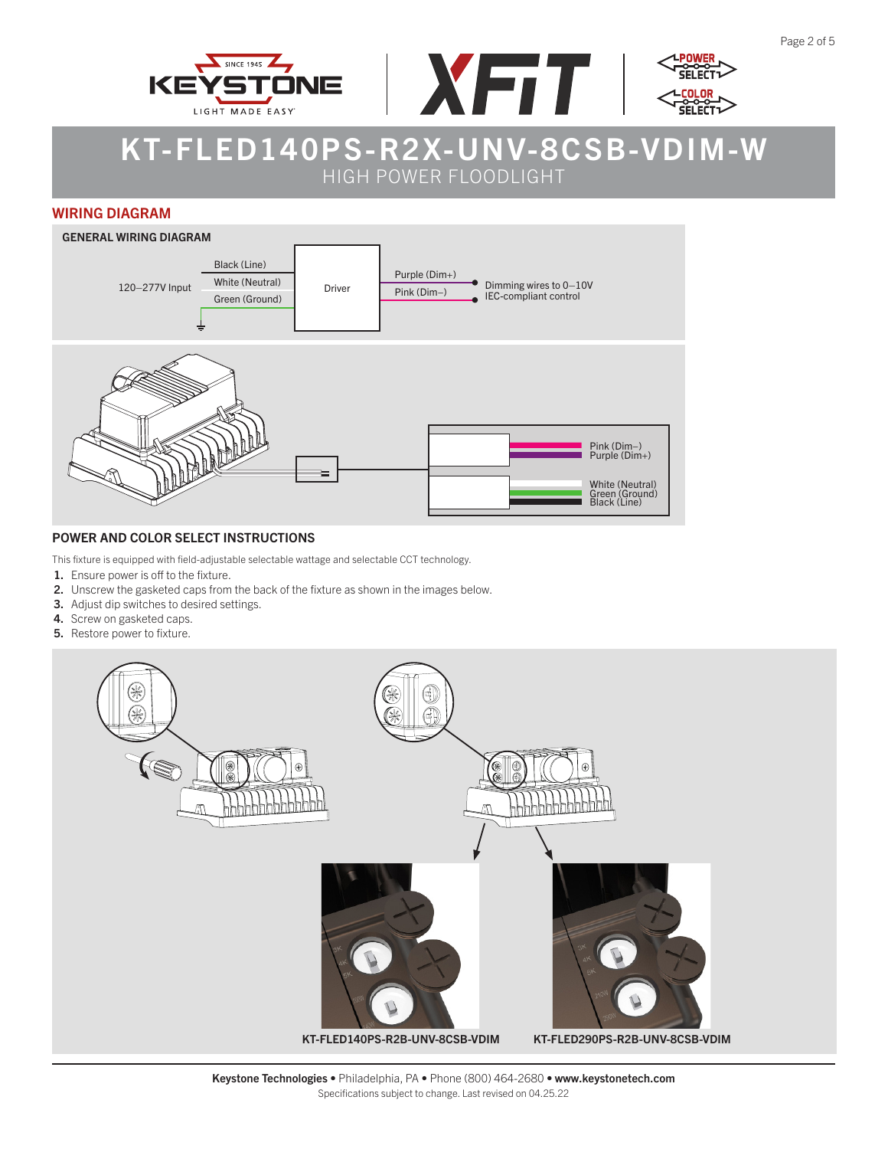





#### WIRING DIAGRAM



#### POWER AND COLOR SELECT INSTRUCTIONS

This fixture is equipped with field-adjustable selectable wattage and selectable CCT technology.

- 1. Ensure power is off to the fixture.
- 2. Unscrew the gasketed caps from the back of the fixture as shown in the images below.
- 3. Adjust dip switches to desired settings.
- 4. Screw on gasketed caps.
- 5. Restore power to fixture.

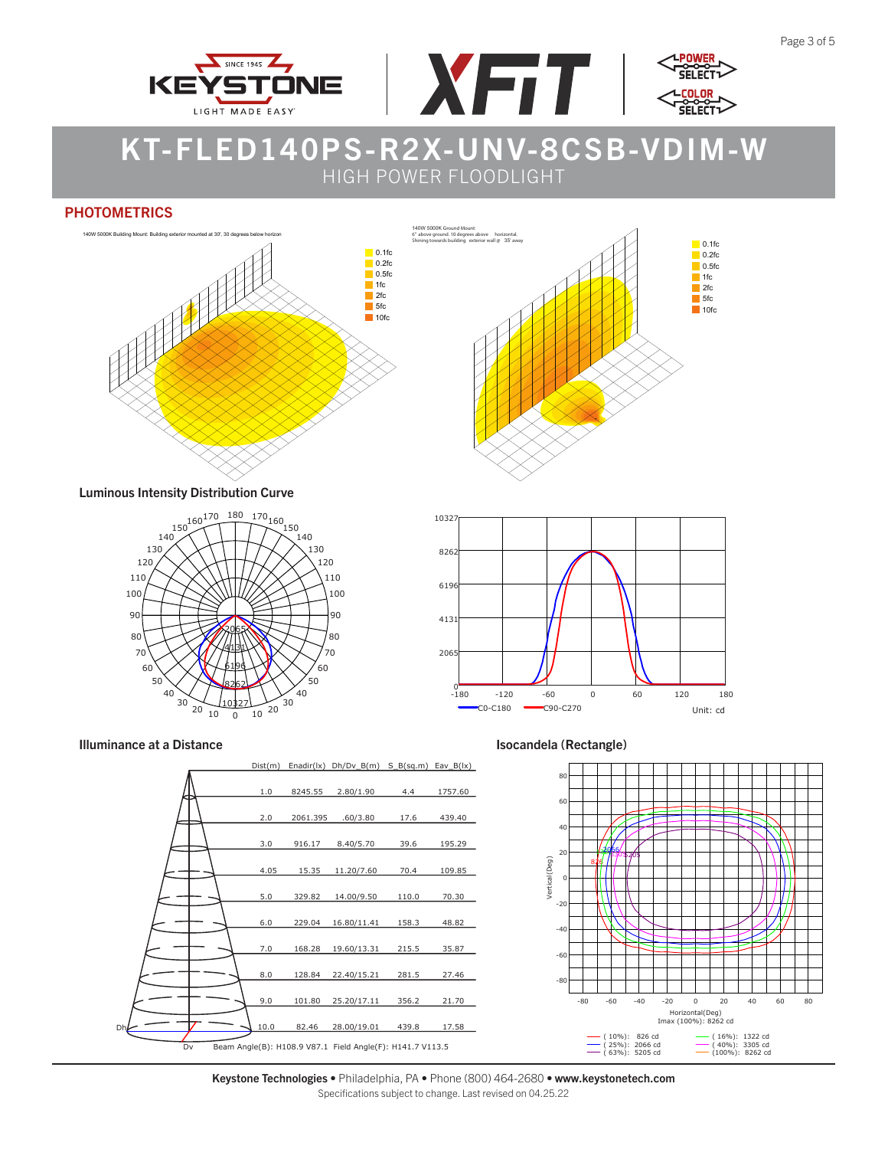





#### **PHOTOMETRICS**



Luminous Intensity Distribution Curve











Keystone Technologies • Philadelphia, PA • Phone (800) 464-2680 • www.keystonetech.com Specifications subject to change. Last revised on 04.25.22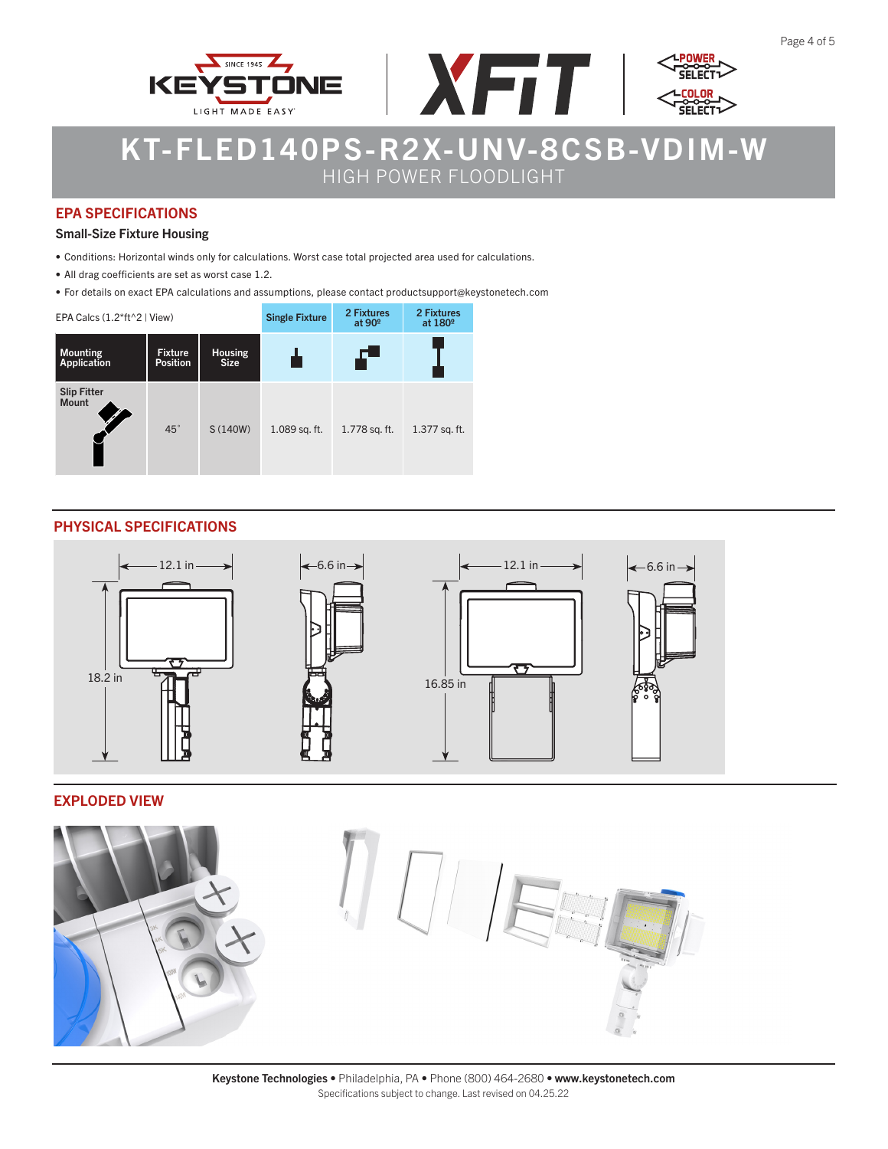



### EPA SPECIFICATIONS

#### Small-Size Fixture Housing

- Conditions: Horizontal winds only for calculations. Worst case total projected area used for calculations.
- All drag coefficients are set as worst case 1.2.
- For details on exact EPA calculations and assumptions, please contact productsupport@keystonetech.com

| EPA Calcs $(1.2*ft^2)$ View)   |                                   | <b>Single Fixture</b>         | 2 Fixtures<br>at 90 <sup>°</sup> | 2 Fixtures<br>at 180 <sup>°</sup> |               |
|--------------------------------|-----------------------------------|-------------------------------|----------------------------------|-----------------------------------|---------------|
| <b>Mounting</b><br>Application | <b>Fixture</b><br><b>Position</b> | <b>Housing</b><br><b>Size</b> |                                  | Æ                                 |               |
| Slip Fitter<br>Mount           | $45^\circ$                        | S (140W)                      | 1.089 sq. ft.                    | 1.778 sq. ft.                     | 1.377 sq. ft. |

## PHYSICAL SPECIFICATIONS



#### EXPLODED VIEW